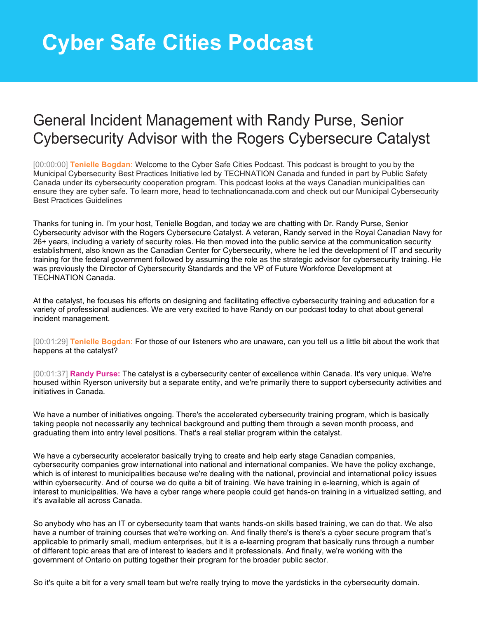## **Cyber Safe Cities Podcast**

## General Incident Management with Randy Purse, Senior Cybersecurity Advisor with the Rogers Cybersecure Catalyst

[00:00:00] **Tenielle Bogdan:** Welcome to the Cyber Safe Cities Podcast. This podcast is brought to you by the Municipal Cybersecurity Best Practices Initiative led by TECHNATION Canada and funded in part by Public Safety Canada under its cybersecurity cooperation program. This podcast looks at the ways Canadian municipalities can ensure they are cyber safe. To learn more, head to technationcanada.com and check out our Municipal Cybersecurity Best Practices Guidelines

Thanks for tuning in. I'm your host, Tenielle Bogdan, and today we are chatting with Dr. Randy Purse, Senior Cybersecurity advisor with the Rogers Cybersecure Catalyst. A veteran, Randy served in the Royal Canadian Navy for 26+ years, including a variety of security roles. He then moved into the public service at the communication security establishment, also known as the Canadian Center for Cybersecurity, where he led the development of IT and security training for the federal government followed by assuming the role as the strategic advisor for cybersecurity training. He was previously the Director of Cybersecurity Standards and the VP of Future Workforce Development at TECHNATION Canada.

At the catalyst, he focuses his efforts on designing and facilitating effective cybersecurity training and education for a variety of professional audiences. We are very excited to have Randy on our podcast today to chat about general incident management.

[00:01:29] **Tenielle Bogdan:** For those of our listeners who are unaware, can you tell us a little bit about the work that happens at the catalyst?

[00:01:37] **Randy Purse:** The catalyst is a cybersecurity center of excellence within Canada. It's very unique. We're housed within Ryerson university but a separate entity, and we're primarily there to support cybersecurity activities and initiatives in Canada.

We have a number of initiatives ongoing. There's the accelerated cybersecurity training program, which is basically taking people not necessarily any technical background and putting them through a seven month process, and graduating them into entry level positions. That's a real stellar program within the catalyst.

We have a cybersecurity accelerator basically trying to create and help early stage Canadian companies, cybersecurity companies grow international into national and international companies. We have the policy exchange, which is of interest to municipalities because we're dealing with the national, provincial and international policy issues within cybersecurity. And of course we do quite a bit of training. We have training in e-learning, which is again of interest to municipalities. We have a cyber range where people could get hands-on training in a virtualized setting, and it's available all across Canada.

So anybody who has an IT or cybersecurity team that wants hands-on skills based training, we can do that. We also have a number of training courses that we're working on. And finally there's is there's a cyber secure program that's applicable to primarily small, medium enterprises, but it is a e-learning program that basically runs through a number of different topic areas that are of interest to leaders and it professionals. And finally, we're working with the government of Ontario on putting together their program for the broader public sector.

So it's quite a bit for a very small team but we're really trying to move the yardsticks in the cybersecurity domain.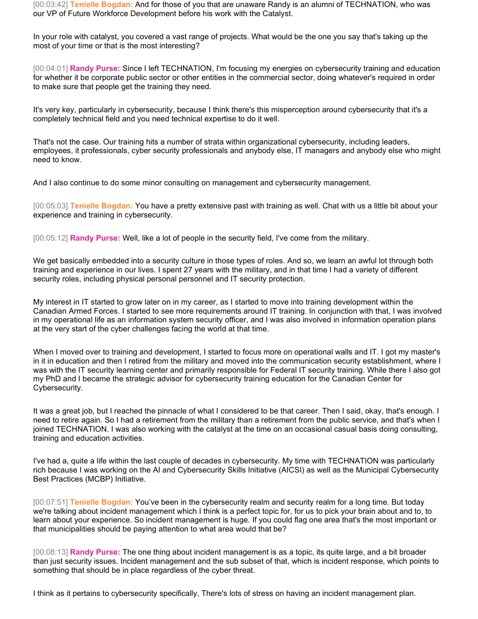[00:03:42] **Tenielle Bogdan:** And for those of you that are unaware Randy is an alumni of TECHNATION, who was our VP of Future Workforce Development before his work with the Catalyst.

In your role with catalyst, you covered a vast range of projects. What would be the one you say that's taking up the most of your time or that is the most interesting?

[00:04:01] **Randy Purse:** Since I left TECHNATION, I'm focusing my energies on cybersecurity training and education for whether it be corporate public sector or other entities in the commercial sector, doing whatever's required in order to make sure that people get the training they need.

It's very key, particularly in cybersecurity, because I think there's this misperception around cybersecurity that it's a completely technical field and you need technical expertise to do it well.

That's not the case. Our training hits a number of strata within organizational cybersecurity, including leaders, employees, it professionals, cyber security professionals and anybody else, IT managers and anybody else who might need to know.

And I also continue to do some minor consulting on management and cybersecurity management.

[00:05:03] **Tenielle Bogdan:** You have a pretty extensive past with training as well. Chat with us a little bit about your experience and training in cybersecurity.

[00:05:12] **Randy Purse:** Well, like a lot of people in the security field, I've come from the military.

We get basically embedded into a security culture in those types of roles. And so, we learn an awful lot through both training and experience in our lives. I spent 27 years with the military, and in that time I had a variety of different security roles, including physical personal personnel and IT security protection.

My interest in IT started to grow later on in my career, as I started to move into training development within the Canadian Armed Forces. I started to see more requirements around IT training. In conjunction with that, I was involved in my operational life as an information system security officer, and I was also involved in information operation plans at the very start of the cyber challenges facing the world at that time.

When I moved over to training and development, I started to focus more on operational walls and IT. I got my master's in it in education and then I retired from the military and moved into the communication security establishment, where I was with the IT security learning center and primarily responsible for Federal IT security training. While there I also got my PhD and I became the strategic advisor for cybersecurity training education for the Canadian Center for Cybersecurity.

It was a great job, but I reached the pinnacle of what I considered to be that career. Then I said, okay, that's enough. I need to retire again. So I had a retirement from the military than a retirement from the public service, and that's when I joined TECHNATION. I was also working with the catalyst at the time on an occasional casual basis doing consulting, training and education activities.

I've had a, quite a life within the last couple of decades in cybersecurity. My time with TECHNATION was particularly rich because I was working on the AI and Cybersecurity Skills Initiative (AICSI) as well as the Municipal Cybersecurity Best Practices (MCBP) Initiative.

[00:07:51] **Tenielle Bogdan:** You've been in the cybersecurity realm and security realm for a long time. But today we're talking about incident management which I think is a perfect topic for, for us to pick your brain about and to, to learn about your experience. So incident management is huge. If you could flag one area that's the most important or that municipalities should be paying attention to what area would that be?

[00:08:13] **Randy Purse:** The one thing about incident management is as a topic, its quite large, and a bit broader than just security issues. Incident management and the sub subset of that, which is incident response, which points to something that should be in place regardless of the cyber threat.

I think as it pertains to cybersecurity specifically, There's lots of stress on having an incident management plan.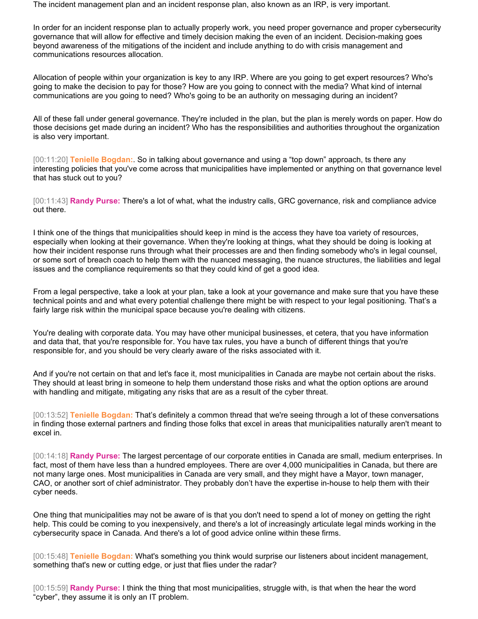The incident management plan and an incident response plan, also known as an IRP, is very important.

In order for an incident response plan to actually properly work, you need proper governance and proper cybersecurity governance that will allow for effective and timely decision making the even of an incident. Decision-making goes beyond awareness of the mitigations of the incident and include anything to do with crisis management and communications resources allocation.

Allocation of people within your organization is key to any IRP. Where are you going to get expert resources? Who's going to make the decision to pay for those? How are you going to connect with the media? What kind of internal communications are you going to need? Who's going to be an authority on messaging during an incident?

All of these fall under general governance. They're included in the plan, but the plan is merely words on paper. How do those decisions get made during an incident? Who has the responsibilities and authorities throughout the organization is also very important.

[00:11:20] **Tenielle Bogdan:**. So in talking about governance and using a "top down" approach, ts there any interesting policies that you've come across that municipalities have implemented or anything on that governance level that has stuck out to you?

[00:11:43] **Randy Purse:** There's a lot of what, what the industry calls, GRC governance, risk and compliance advice out there.

I think one of the things that municipalities should keep in mind is the access they have toa variety of resources, especially when looking at their governance. When they're looking at things, what they should be doing is looking at how their incident response runs through what their processes are and then finding somebody who's in legal counsel, or some sort of breach coach to help them with the nuanced messaging, the nuance structures, the liabilities and legal issues and the compliance requirements so that they could kind of get a good idea.

From a legal perspective, take a look at your plan, take a look at your governance and make sure that you have these technical points and and what every potential challenge there might be with respect to your legal positioning. That's a fairly large risk within the municipal space because you're dealing with citizens.

You're dealing with corporate data. You may have other municipal businesses, et cetera, that you have information and data that, that you're responsible for. You have tax rules, you have a bunch of different things that you're responsible for, and you should be very clearly aware of the risks associated with it.

And if you're not certain on that and let's face it, most municipalities in Canada are maybe not certain about the risks. They should at least bring in someone to help them understand those risks and what the option options are around with handling and mitigate, mitigating any risks that are as a result of the cyber threat.

[00:13:52] **Tenielle Bogdan:** That's definitely a common thread that we're seeing through a lot of these conversations in finding those external partners and finding those folks that excel in areas that municipalities naturally aren't meant to excel in.

[00:14:18] **Randy Purse:** The largest percentage of our corporate entities in Canada are small, medium enterprises. In fact, most of them have less than a hundred employees. There are over 4,000 municipalities in Canada, but there are not many large ones. Most municipalities in Canada are very small, and they might have a Mayor, town manager, CAO, or another sort of chief administrator. They probably don't have the expertise in-house to help them with their cyber needs.

One thing that municipalities may not be aware of is that you don't need to spend a lot of money on getting the right help. This could be coming to you inexpensively, and there's a lot of increasingly articulate legal minds working in the cybersecurity space in Canada. And there's a lot of good advice online within these firms.

[00:15:48] **Tenielle Bogdan:** What's something you think would surprise our listeners about incident management, something that's new or cutting edge, or just that flies under the radar?

[00:15:59] **Randy Purse:** I think the thing that most municipalities, struggle with, is that when the hear the word "cyber", they assume it is only an IT problem.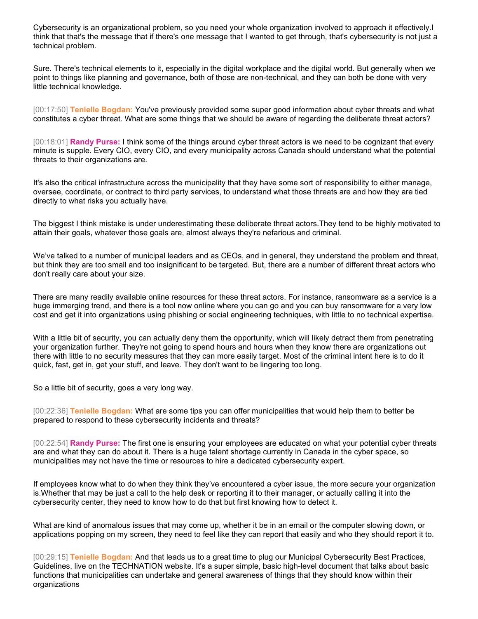Cybersecurity is an organizational problem, so you need your whole organization involved to approach it effectively.I think that that's the message that if there's one message that I wanted to get through, that's cybersecurity is not just a technical problem.

Sure. There's technical elements to it, especially in the digital workplace and the digital world. But generally when we point to things like planning and governance, both of those are non-technical, and they can both be done with very little technical knowledge.

[00:17:50] **Tenielle Bogdan:** You've previously provided some super good information about cyber threats and what constitutes a cyber threat. What are some things that we should be aware of regarding the deliberate threat actors?

[00:18:01] **Randy Purse:** I think some of the things around cyber threat actors is we need to be cognizant that every minute is supple. Every CIO, every CIO, and every municipality across Canada should understand what the potential threats to their organizations are.

It's also the critical infrastructure across the municipality that they have some sort of responsibility to either manage, oversee, coordinate, or contract to third party services, to understand what those threats are and how they are tied directly to what risks you actually have.

The biggest I think mistake is under underestimating these deliberate threat actors.They tend to be highly motivated to attain their goals, whatever those goals are, almost always they're nefarious and criminal.

We've talked to a number of municipal leaders and as CEOs, and in general, they understand the problem and threat, but think they are too small and too insignificant to be targeted. But, there are a number of different threat actors who don't really care about your size.

There are many readily available online resources for these threat actors. For instance, ransomware as a service is a huge immerging trend, and there is a tool now online where you can go and you can buy ransomware for a very low cost and get it into organizations using phishing or social engineering techniques, with little to no technical expertise.

With a little bit of security, you can actually deny them the opportunity, which will likely detract them from penetrating your organization further. They're not going to spend hours and hours when they know there are organizations out there with little to no security measures that they can more easily target. Most of the criminal intent here is to do it quick, fast, get in, get your stuff, and leave. They don't want to be lingering too long.

So a little bit of security, goes a very long way.

[00:22:36] **Tenielle Bogdan:** What are some tips you can offer municipalities that would help them to better be prepared to respond to these cybersecurity incidents and threats?

[00:22:54] **Randy Purse:** The first one is ensuring your employees are educated on what your potential cyber threats are and what they can do about it. There is a huge talent shortage currently in Canada in the cyber space, so municipalities may not have the time or resources to hire a dedicated cybersecurity expert.

If employees know what to do when they think they've encountered a cyber issue, the more secure your organization is.Whether that may be just a call to the help desk or reporting it to their manager, or actually calling it into the cybersecurity center, they need to know how to do that but first knowing how to detect it.

What are kind of anomalous issues that may come up, whether it be in an email or the computer slowing down, or applications popping on my screen, they need to feel like they can report that easily and who they should report it to.

[00:29:15] **Tenielle Bogdan:** And that leads us to a great time to plug our Municipal Cybersecurity Best Practices, Guidelines, live on the TECHNATION website. It's a super simple, basic high-level document that talks about basic functions that municipalities can undertake and general awareness of things that they should know within their organizations